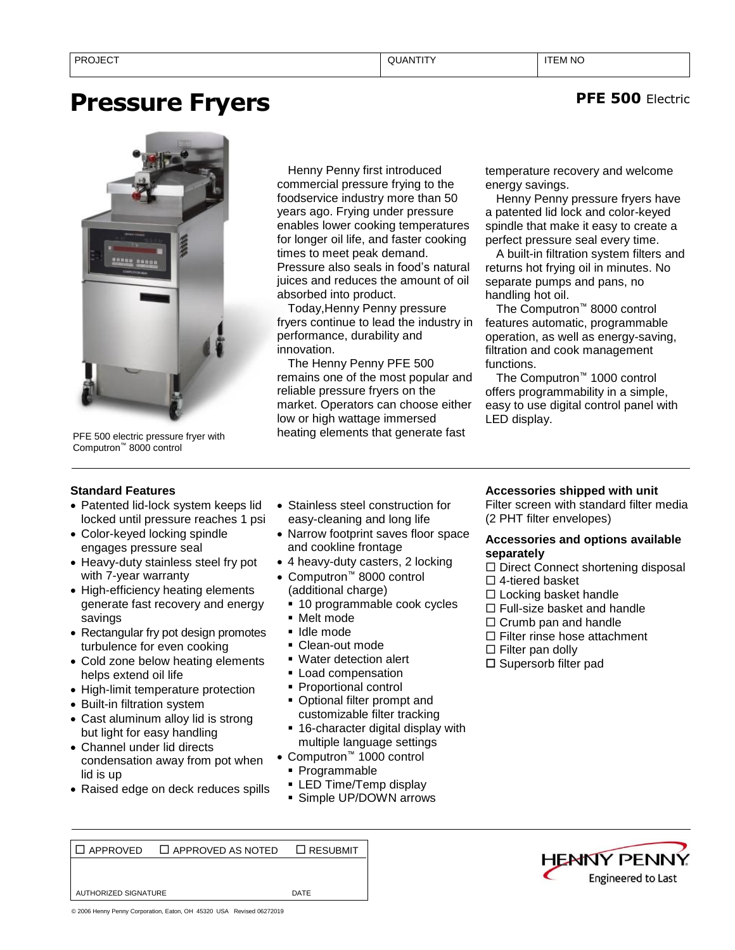# **Pressure Fryers**



Computron™ 8000 control

Henny Penny first introduced commercial pressure frying to the foodservice industry more than 50 years ago. Frying under pressure enables lower cooking temperatures for longer oil life, and faster cooking times to meet peak demand. Pressure also seals in food's natural juices and reduces the amount of oil absorbed into product.

Today,Henny Penny pressure fryers continue to lead the industry in performance, durability and innovation.

The Henny Penny PFE 500 remains one of the most popular and reliable pressure fryers on the market. Operators can choose either low or high wattage immersed PFE 500 electric pressure fryer with **PEL 1988** heating elements that generate fast

temperature recovery and welcome energy savings.

**PFE 500** Electric

Henny Penny pressure fryers have a patented lid lock and color-keyed spindle that make it easy to create a perfect pressure seal every time.

A built-in filtration system filters and returns hot frying oil in minutes. No separate pumps and pans, no handling hot oil.

The Computron™ 8000 control features automatic, programmable operation, as well as energy-saving, filtration and cook management functions.

The Computron™ 1000 control offers programmability in a simple, easy to use digital control panel with LED display.

# **Standard Features**

- Patented lid-lock system keeps lid locked until pressure reaches 1 psi
- Color-keyed locking spindle engages pressure seal
- Heavy-duty stainless steel fry pot with 7-year warranty
- High-efficiency heating elements generate fast recovery and energy savings
- Rectangular fry pot design promotes turbulence for even cooking
- Cold zone below heating elements helps extend oil life
- High-limit temperature protection
- Built-in filtration system
- Cast aluminum alloy lid is strong but light for easy handling
- Channel under lid directs condensation away from pot when lid is up
- Raised edge on deck reduces spills
- Stainless steel construction for easy-cleaning and long life
- Narrow footprint saves floor space and cookline frontage
- 4 heavy-duty casters, 2 locking
- Computron™ 8000 control (additional charge)
	- 10 programmable cook cycles
	- Melt mode
	- Idle mode
	- Clean-out mode
	- Water detection alert
	- **ELoad compensation**
	- Proportional control
	- Optional filter prompt and customizable filter tracking
	- 16-character digital display with multiple language settings
- Computron™ 1000 control
	- Programmable
	- **ELED Time/Temp display**
	- **E** Simple UP/DOWN arrows

## **Accessories shipped with unit**

Filter screen with standard filter media (2 PHT filter envelopes)

### **Accessories and options available separately**

 $\Box$  Direct Connect shortening disposal 4-tiered basket

- $\square$  Locking basket handle
- $\Box$  Full-size basket and handle
- $\Box$  Crumb pan and handle
- □ Filter rinse hose attachment
- $\square$  Filter pan dolly
- □ Supersorb filter pad

APPROVED APPROVED AS NOTED RESUBMIT





© 2006 Henny Penny Corporation, Eaton, OH 45320 USA Revised 06272019